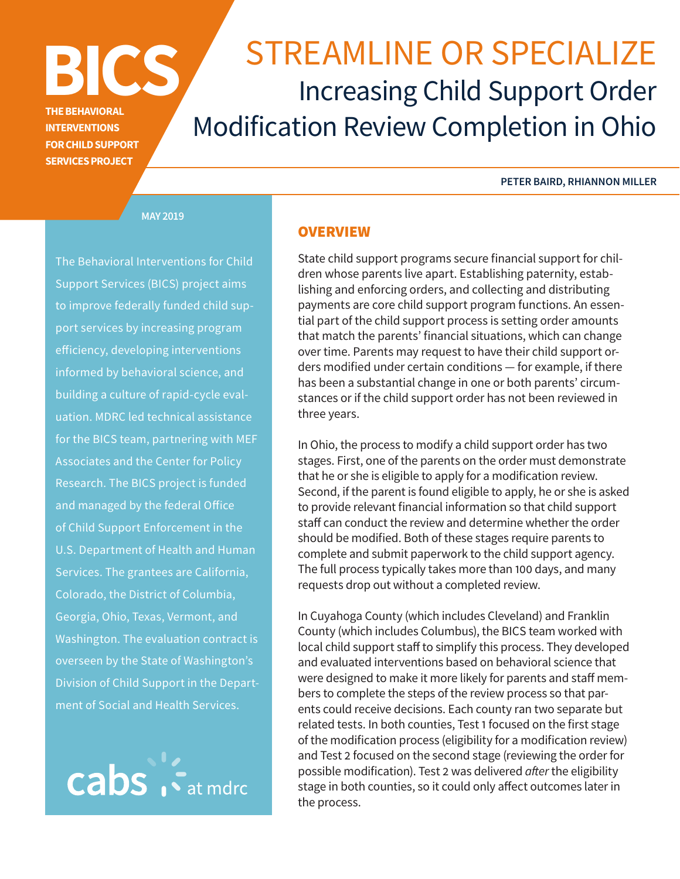# **THE BEHAVIORAL**

**INTERVENTIONS FOR CHILD SUPPORT SERVICES PROJECT**

# **BICS** STREAMLINE OR SPECIALIZE Increasing Child Support Order Modification Review Completion in Ohio

#### **PETER BAIRD, RHIANNON MILLER**

**MAY 2019**

The Behavioral Interventions for Child Support Services (BICS) project aims to improve federally funded child support services by increasing program efficiency, developing interventions informed by behavioral science, and building a culture of rapid-cycle evaluation. MDRC led technical assistance for the BICS team, partnering with MEF Associates and the Center for Policy Research. The BICS project is funded and managed by the federal Office of Child Support Enforcement in the U.S. Department of Health and Human Services. The grantees are California, Colorado, the District of Columbia, Georgia, Ohio, Texas, Vermont, and Washington. The evaluation contract is overseen by the State of Washington's Division of Child Support in the Department of Social and Health Services.



#### **OVERVIEW**

State child support programs secure financial support for children whose parents live apart. Establishing paternity, establishing and enforcing orders, and collecting and distributing payments are core child support program functions. An essential part of the child support process is setting order amounts that match the parents' financial situations, which can change over time. Parents may request to have their child support orders modified under certain conditions — for example, if there has been a substantial change in one or both parents' circumstances or if the child support order has not been reviewed in three years.

In Ohio, the process to modify a child support order has two stages. First, one of the parents on the order must demonstrate that he or she is eligible to apply for a modification review. Second, if the parent is found eligible to apply, he or she is asked to provide relevant financial information so that child support staff can conduct the review and determine whether the order should be modified. Both of these stages require parents to complete and submit paperwork to the child support agency. The full process typically takes more than 100 days, and many requests drop out without a completed review.

In Cuyahoga County (which includes Cleveland) and Franklin County (which includes Columbus), the BICS team worked with local child support staff to simplify this process. They developed and evaluated interventions based on behavioral science that were designed to make it more likely for parents and staff members to complete the steps of the review process so that parents could receive decisions. Each county ran two separate but related tests. In both counties, Test 1 focused on the first stage of the modification process (eligibility for a modification review) and Test 2 focused on the second stage (reviewing the order for possible modification). Test 2 was delivered *after* the eligibility stage in both counties, so it could only affect outcomes later in the process.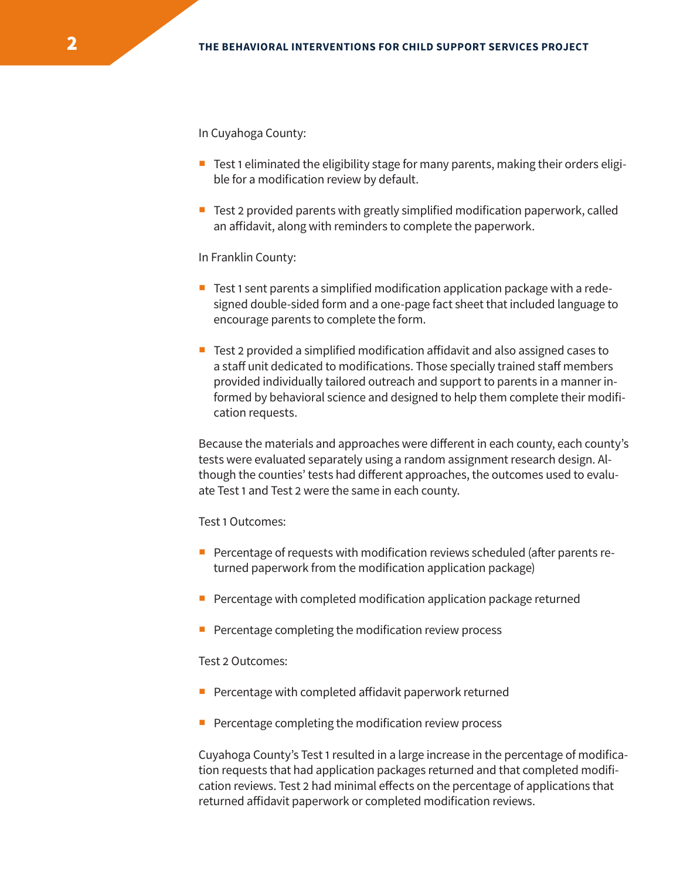In Cuyahoga County:

- Test 1 eliminated the eligibility stage for many parents, making their orders eligible for a modification review by default.
- $\blacksquare$  Test 2 provided parents with greatly simplified modification paperwork, called an affidavit, along with reminders to complete the paperwork.

In Franklin County:

- Test 1 sent parents a simplified modification application package with a redesigned double-sided form and a one-page fact sheet that included language to encourage parents to complete the form.
- **Test 2 provided a simplified modification affidavit and also assigned cases to** a staff unit dedicated to modifications. Those specially trained staff members provided individually tailored outreach and support to parents in a manner informed by behavioral science and designed to help them complete their modification requests.

Because the materials and approaches were different in each county, each county's tests were evaluated separately using a random assignment research design. Although the counties' tests had different approaches, the outcomes used to evaluate Test 1 and Test 2 were the same in each county.

Test 1 Outcomes:

- **Percentage of requests with modification reviews scheduled (after parents re**turned paperwork from the modification application package)
- $\blacksquare$  Percentage with completed modification application package returned
- $\blacksquare$  Percentage completing the modification review process

Test 2 Outcomes:

- $\blacksquare$  Percentage with completed affidavit paperwork returned
- $\blacksquare$  Percentage completing the modification review process

Cuyahoga County's Test 1 resulted in a large increase in the percentage of modification requests that had application packages returned and that completed modification reviews. Test 2 had minimal effects on the percentage of applications that returned affidavit paperwork or completed modification reviews.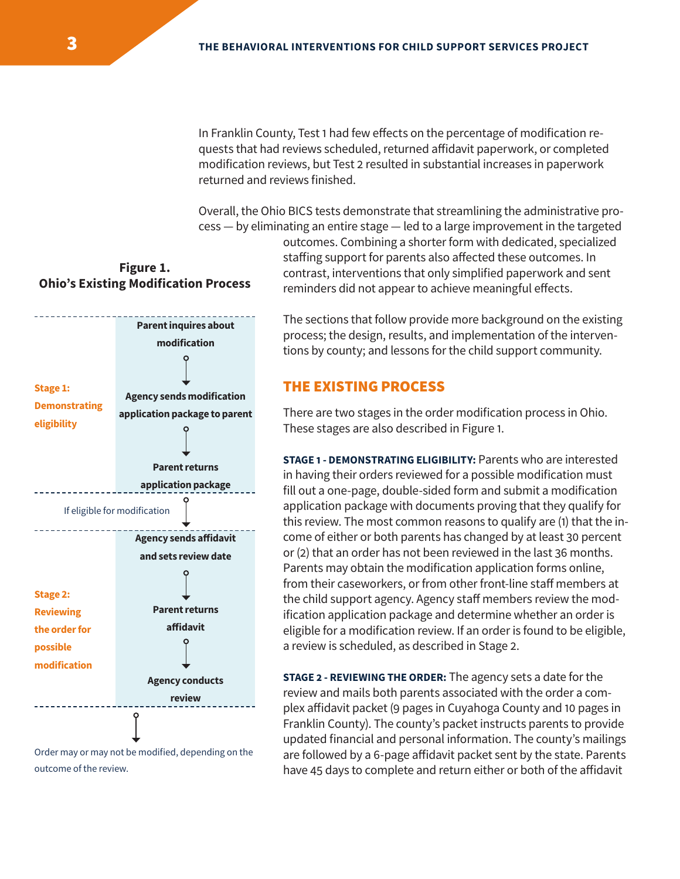In Franklin County, Test 1 had few effects on the percentage of modification requests that had reviews scheduled, returned affidavit paperwork, or completed modification reviews, but Test 2 resulted in substantial increases in paperwork returned and reviews finished.

Overall, the Ohio BICS tests demonstrate that streamlining the administrative pro-

cess — by eliminating an entire stage — led to a large improvement in the targeted outcomes. Combining a shorter form with dedicated, specialized staffing support for parents also affected these outcomes. In contrast, interventions that only simplified paperwork and sent reminders did not appear to achieve meaningful effects.

# **Figure 1. Ohio's Existing Modification Process**



Order may or may not be modified, depending on the outcome of the review.

The sections that follow provide more background on the existing process; the design, results, and implementation of the interventions by county; and lessons for the child support community.

#### THE EXISTING PROCESS

There are two stages in the order modification process in Ohio. These stages are also described in Figure 1.

**STAGE 1 - DEMONSTRATING ELIGIBILITY:** Parents who are interested in having their orders reviewed for a possible modification must fill out a one-page, double-sided form and submit a modification application package with documents proving that they qualify for this review. The most common reasons to qualify are (1) that the income of either or both parents has changed by at least 30 percent or (2) that an order has not been reviewed in the last 36 months. Parents may obtain the modification application forms online, from their caseworkers, or from other front-line staff members at the child support agency. Agency staff members review the modification application package and determine whether an order is eligible for a modification review. If an order is found to be eligible, a review is scheduled, as described in Stage 2.

**STAGE 2 - REVIEWING THE ORDER:** The agency sets a date for the review and mails both parents associated with the order a complex affidavit packet (9 pages in Cuyahoga County and 10 pages in Franklin County). The county's packet instructs parents to provide updated financial and personal information. The county's mailings are followed by a 6-page affidavit packet sent by the state. Parents have 45 days to complete and return either or both of the affidavit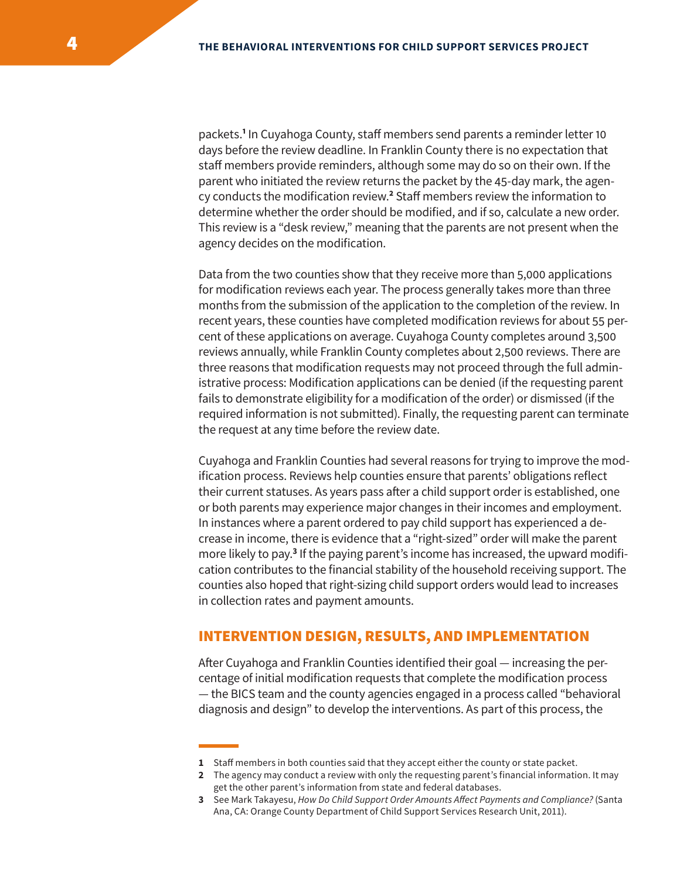packets.<sup>1</sup> In Cuyahoga County, staff members send parents a reminder letter 10 days before the review deadline. In Franklin County there is no expectation that staff members provide reminders, although some may do so on their own. If the parent who initiated the review returns the packet by the 45-day mark, the agency conducts the modification review.<sup>2</sup> Staff members review the information to determine whether the order should be modified, and if so, calculate a new order. This review is a "desk review," meaning that the parents are not present when the agency decides on the modification.

Data from the two counties show that they receive more than 5,000 applications for modification reviews each year. The process generally takes more than three months from the submission of the application to the completion of the review. In recent years, these counties have completed modification reviews for about 55 percent of these applications on average. Cuyahoga County completes around 3,500 reviews annually, while Franklin County completes about 2,500 reviews. There are three reasons that modification requests may not proceed through the full administrative process: Modification applications can be denied (if the requesting parent fails to demonstrate eligibility for a modification of the order) or dismissed (if the required information is not submitted). Finally, the requesting parent can terminate the request at any time before the review date.

Cuyahoga and Franklin Counties had several reasons for trying to improve the modification process. Reviews help counties ensure that parents' obligations reflect their current statuses. As years pass after a child support order is established, one or both parents may experience major changes in their incomes and employment. In instances where a parent ordered to pay child support has experienced a decrease in income, there is evidence that a "right-sized" order will make the parent more likely to pay.<sup>3</sup> If the paying parent's income has increased, the upward modification contributes to the financial stability of the household receiving support. The counties also hoped that right-sizing child support orders would lead to increases in collection rates and payment amounts.

#### INTERVENTION DESIGN, RESULTS, AND IMPLEMENTATION

After Cuyahoga and Franklin Counties identified their goal — increasing the percentage of initial modification requests that complete the modification process — the BICS team and the county agencies engaged in a process called "behavioral diagnosis and design" to develop the interventions. As part of this process, the

- **1** Staff members in both counties said that they accept either the county or state packet.
- **2** The agency may conduct a review with only the requesting parent's financial information. It may get the other parent's information from state and federal databases.
- **3** See Mark Takayesu, *How Do Child Support Order Amounts Affect Payments and Compliance?* (Santa Ana, CA: Orange County Department of Child Support Services Research Unit, 2011).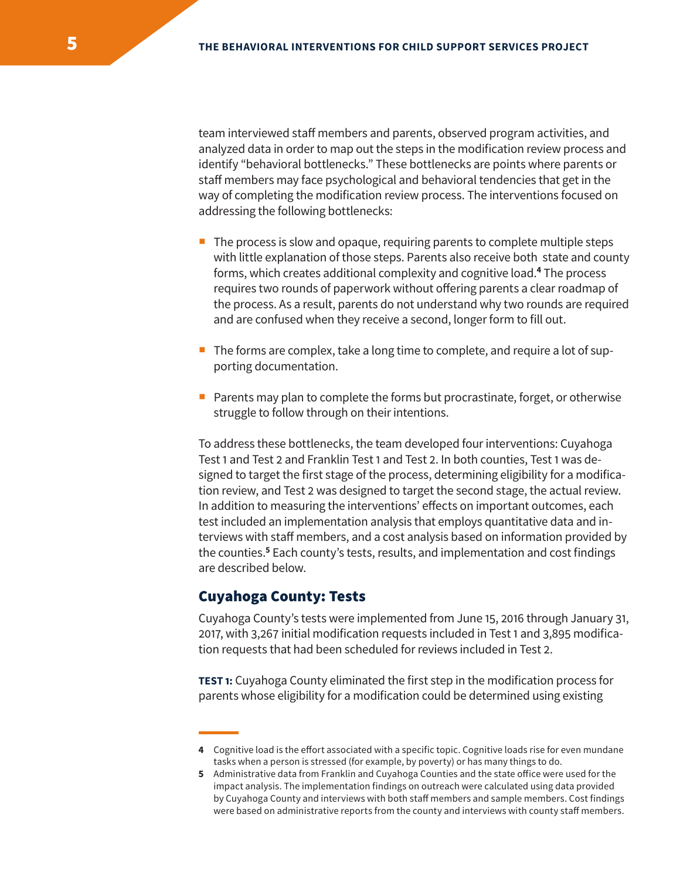team interviewed staff members and parents, observed program activities, and analyzed data in order to map out the steps in the modification review process and identify "behavioral bottlenecks." These bottlenecks are points where parents or staff members may face psychological and behavioral tendencies that get in the way of completing the modification review process. The interventions focused on addressing the following bottlenecks:

- $\blacksquare$  The process is slow and opaque, requiring parents to complete multiple steps with little explanation of those steps. Parents also receive both state and county forms, which creates additional complexity and cognitive load.**<sup>4</sup>** The process requires two rounds of paperwork without offering parents a clear roadmap of the process. As a result, parents do not understand why two rounds are required and are confused when they receive a second, longer form to fill out.
- $\blacksquare$  The forms are complex, take a long time to complete, and require a lot of supporting documentation.
- **Parents may plan to complete the forms but procrastinate, forget, or otherwise** struggle to follow through on their intentions.

To address these bottlenecks, the team developed four interventions: Cuyahoga Test 1 and Test 2 and Franklin Test 1 and Test 2. In both counties, Test 1 was designed to target the first stage of the process, determining eligibility for a modification review, and Test 2 was designed to target the second stage, the actual review. In addition to measuring the interventions' effects on important outcomes, each test included an implementation analysis that employs quantitative data and interviews with staff members, and a cost analysis based on information provided by the counties.<sup>5</sup> Each county's tests, results, and implementation and cost findings are described below.

#### Cuyahoga County: Tests

Cuyahoga County's tests were implemented from June 15, 2016 through January 31, 2017, with 3,267 initial modification requests included in Test 1 and 3,895 modification requests that had been scheduled for reviews included in Test 2.

**TEST 1:** Cuyahoga County eliminated the first step in the modification process for parents whose eligibility for a modification could be determined using existing

**<sup>4</sup>** Cognitive load is the effort associated with a specific topic. Cognitive loads rise for even mundane tasks when a person is stressed (for example, by poverty) or has many things to do.

**<sup>5</sup>** Administrative data from Franklin and Cuyahoga Counties and the state office were used for the impact analysis. The implementation findings on outreach were calculated using data provided by Cuyahoga County and interviews with both staff members and sample members. Cost findings were based on administrative reports from the county and interviews with county staff members.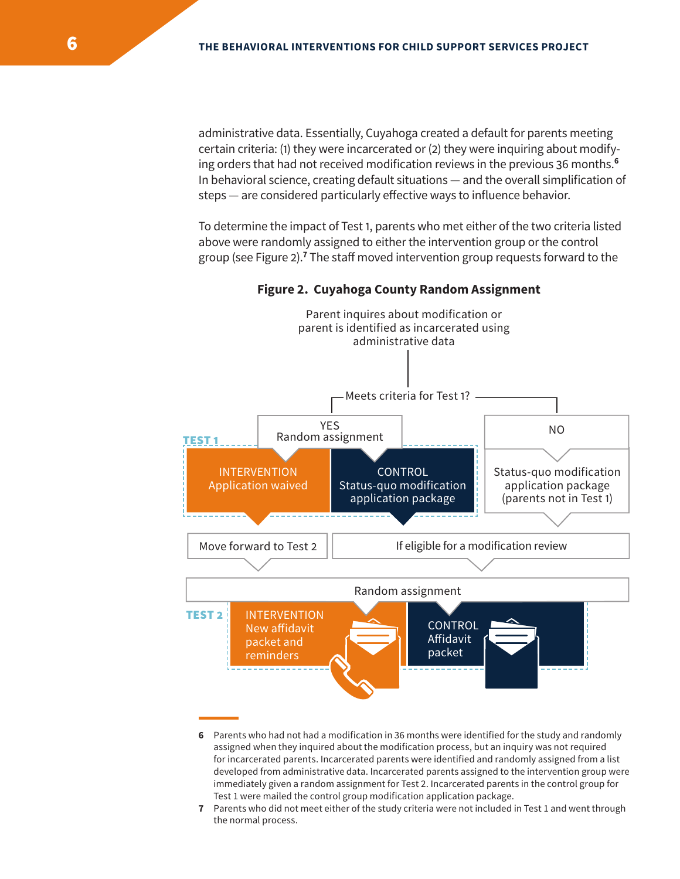administrative data. Essentially, Cuyahoga created a default for parents meeting certain criteria: (1) they were incarcerated or (2) they were inquiring about modifying orders that had not received modification reviews in the previous 36 months.**<sup>6</sup>** In behavioral science, creating default situations — and the overall simplification of steps — are considered particularly effective ways to influence behavior.

To determine the impact of Test 1, parents who met either of the two criteria listed above were randomly assigned to either the intervention group or the control group (see Figure 2).**<sup>7</sup>** The staff moved intervention group requests forward to the



**Figure 2. Cuyahoga County Random Assignment**

**<sup>6</sup>** Parents who had not had a modification in 36 months were identified for the study and randomly assigned when they inquired about the modification process, but an inquiry was not required for incarcerated parents. Incarcerated parents were identified and randomly assigned from a list developed from administrative data. Incarcerated parents assigned to the intervention group were immediately given a random assignment for Test 2. Incarcerated parents in the control group for Test 1 were mailed the control group modification application package.

**<sup>7</sup>** Parents who did not meet either of the study criteria were not included in Test 1 and went through the normal process.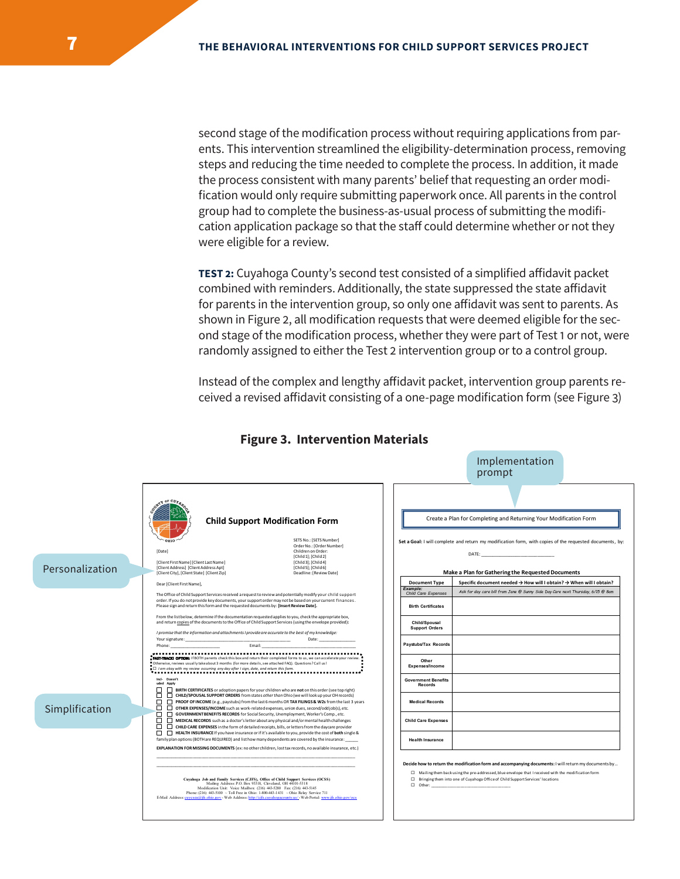second stage of the modification process without requiring applications from parents. This intervention streamlined the eligibility-determination process, removing steps and reducing the time needed to complete the process. In addition, it made the process consistent with many parents' belief that requesting an order modification would only require submitting paperwork once. All parents in the control group had to complete the business-as-usual process of submitting the modification application package so that the staff could determine whether or not they were eligible for a review.

**TEST 2:** Cuyahoga County's second test consisted of a simplified affidavit packet combined with reminders. Additionally, the state suppressed the state affidavit for parents in the intervention group, so only one affidavit was sent to parents. As shown in Figure 2, all modification requests that were deemed eligible for the second stage of the modification process, whether they were part of Test 1 or not, were randomly assigned to either the Test 2 intervention group or to a control group.

Instead of the complex and lengthy affidavit packet, intervention group parents received a revised affidavit consisting of a one-page modification form (see Figure 3)

Implementation

|                 |                                                                                                                                                                                                                                                                                                                                                                                                                                      | prompt                                                                                                                                                                                                                                                                                            |
|-----------------|--------------------------------------------------------------------------------------------------------------------------------------------------------------------------------------------------------------------------------------------------------------------------------------------------------------------------------------------------------------------------------------------------------------------------------------|---------------------------------------------------------------------------------------------------------------------------------------------------------------------------------------------------------------------------------------------------------------------------------------------------|
| Personalization | <b>Child Support Modification Form</b><br>SETS No.: [SETS Number]<br>Order No.: [Order Number]<br>Children on Order:<br>[Date]<br>[Child 1]; [Child 2]<br>[Client First Name] [Client Last Name]<br>[Child 3]: [Child 4]<br>[Client Address] [Client Address Apt]<br>[Child 5]; [Child 6]<br>[Client City], [Client State] [Client Zip]<br>Deadline: [Review Date]                                                                   | Create a Plan for Completing and Returning Your Modification Form<br>Set a Goal: I will complete and return my modification form, with copies of the requested documents, by:<br>Make a Plan for Gathering the Requested Documents                                                                |
|                 | Dear [Client First Name],                                                                                                                                                                                                                                                                                                                                                                                                            | Specific document needed → How will I obtain? → When will I obtain?<br><b>Document Type</b>                                                                                                                                                                                                       |
|                 | The Office of Child Support Services received a request to review and potentially modify your child support<br>order. If you do not provide key documents, your support order may not be based on your current finances.<br>Please sign and return this form and the requested documents by: [Insert Review Date].                                                                                                                   | Example:<br>Ask for day care bill from Jane @ Sunny Side Day Care next Thursday, 6/15 @ 8am<br>Child Care Expenses<br><b>Birth Certificates</b>                                                                                                                                                   |
|                 | From the list below, determine if the documentation requested applies to you, check the appropriate box,<br>and return copies of the documents to the Office of Child Support Services (using the envelope provided):<br>I promise that the information and attachments I provide are accurate to the best of my knowledge:                                                                                                          | Child/Spousal<br><b>Support Orders</b>                                                                                                                                                                                                                                                            |
|                 | Date: and the state of the state of the state of the state of the state of the state of the state of the state of the state of the state of the state of the state of the state of the state of the state of the state of the<br>Email:<br>Phone:                                                                                                                                                                                    | Paystubs/Tax Records                                                                                                                                                                                                                                                                              |
|                 | FAST-TRACKI OPTION: If BOTH parents check this box and return their completed forms to us, we can accelerate your review.<br>" Otherwise, reviews usually take about 3 months (for more details, see attached FAQ). Questions? Call us!<br>I am okay with my review occurring any day after I sign, date, and return this form.                                                                                                      | Other<br>Expenses/Income                                                                                                                                                                                                                                                                          |
|                 | Incl- Doesn't<br>uded Apply<br>п<br>BIRTH CERTIFICATES or adoption papers for your children who are not on this order (see top right)                                                                                                                                                                                                                                                                                                | <b>Government Benefits</b><br>Records                                                                                                                                                                                                                                                             |
| Simplification  | □<br>n.<br>CHILD/SPOUSAL SUPPORT ORDERS from states other than Ohio (we will look up your OH records)<br>□<br>PROOF OF INCOME (e.g., paystubs) from the last 6 months OR TAX FILINGS & W2s from the last 3 years<br>□<br>$\Box$<br>OTHER EXPENSES/INCOME such as work-related expenses, union dues, second/odd job(s), etc.                                                                                                          | <b>Medical Records</b>                                                                                                                                                                                                                                                                            |
|                 | п<br>$\Box$<br>GOVERNMENT BENEFITS RECORDS for Social Security, Unemployment, Worker's Comp., etc.<br>□<br>MEDICAL RECORDS such as a doctor's letter about any physical and/or mental health challenges<br>□<br>CHILD CARE EXPENSES in the form of detailed receipts, bills, or letters from the daycare provider<br>п                                                                                                               | <b>Child Care Expenses</b>                                                                                                                                                                                                                                                                        |
|                 | HEALTH INSURANCE If you have insurance or if it's available to you, provide the cost of both single &<br>family plan options (BOTH are REQUIRED) and list how many dependents are covered by the insurance:<br>EXPLANATION FOR MISSING DOCUMENTS (ex: no other children, lost tax records, no available insurance, etc.)                                                                                                             | <b>Health Insurance</b>                                                                                                                                                                                                                                                                           |
|                 | Cuyahoga Job and Family Services (CJFS), Office of Child Support Services (OCSS)<br>Mailing Address: P.O. Box 93318, Cleveland, OH 44101-5318<br>Modification Unit: Voice Mailbox: (216) 443-5280 Fax: (216) 443-5145<br>Phone: (216) 443-5100 - Toll Free in Ohio: 1-800-443-1431 - Ohio Relay Service 711<br>E-Mail Address: cuycsea@jfs.ohio.gov - Web Address: http://cjfs.cuyahogacounty.us/ - Web Portal: www.jfs.ohio.gov/ocs | Decide how to return the modification form and accompanying documents: I will return my documents by<br>□ Mailing them back using the pre-addressed, blue envelope that I received with the modification form<br>□ Bringing them into one of Cuyahoga Office of Child Support Services' locations |

#### **Figure 3. Intervention Materials**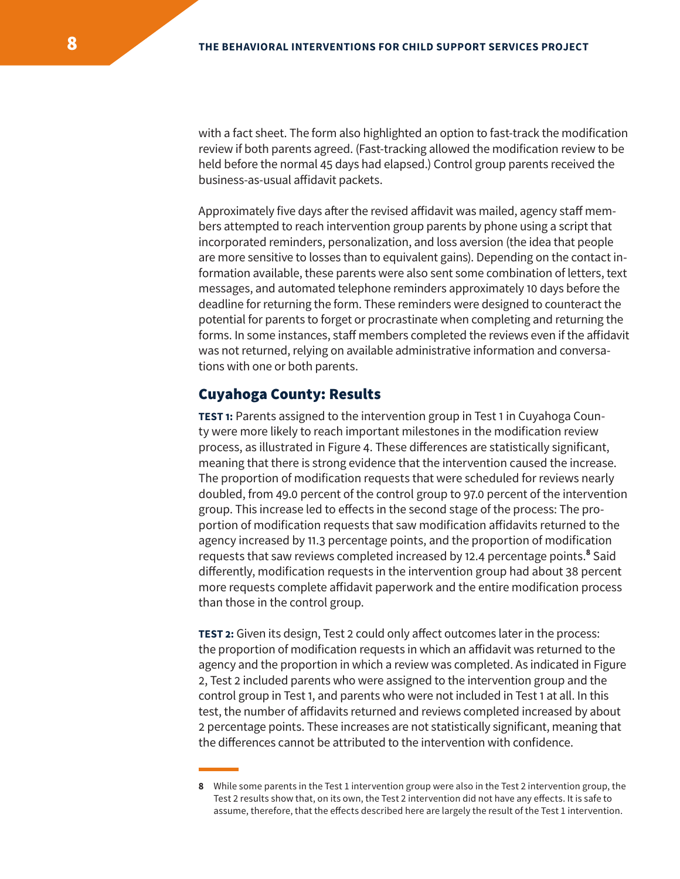with a fact sheet. The form also highlighted an option to fast-track the modification review if both parents agreed. (Fast-tracking allowed the modification review to be held before the normal 45 days had elapsed.) Control group parents received the business-as-usual affidavit packets.

Approximately five days after the revised affidavit was mailed, agency staff members attempted to reach intervention group parents by phone using a script that incorporated reminders, personalization, and loss aversion (the idea that people are more sensitive to losses than to equivalent gains). Depending on the contact information available, these parents were also sent some combination of letters, text messages, and automated telephone reminders approximately 10 days before the deadline for returning the form. These reminders were designed to counteract the potential for parents to forget or procrastinate when completing and returning the forms. In some instances, staff members completed the reviews even if the affidavit was not returned, relying on available administrative information and conversations with one or both parents.

#### Cuyahoga County: Results

**TEST 1:** Parents assigned to the intervention group in Test 1 in Cuyahoga County were more likely to reach important milestones in the modification review process, as illustrated in Figure 4. These differences are statistically significant, meaning that there is strong evidence that the intervention caused the increase. The proportion of modification requests that were scheduled for reviews nearly doubled, from 49.0 percent of the control group to 97.0 percent of the intervention group. This increase led to effects in the second stage of the process: The proportion of modification requests that saw modification affidavits returned to the agency increased by 11.3 percentage points, and the proportion of modification requests that saw reviews completed increased by 12.4 percentage points.<sup>8</sup> Said differently, modification requests in the intervention group had about 38 percent more requests complete affidavit paperwork and the entire modification process than those in the control group.

**TEST 2:** Given its design, Test 2 could only affect outcomes later in the process: the proportion of modification requests in which an affidavit was returned to the agency and the proportion in which a review was completed. As indicated in Figure 2, Test 2 included parents who were assigned to the intervention group and the control group in Test 1, and parents who were not included in Test 1 at all. In this test, the number of affidavits returned and reviews completed increased by about 2 percentage points. These increases are not statistically significant, meaning that the differences cannot be attributed to the intervention with confidence.

**<sup>8</sup>** While some parents in the Test 1 intervention group were also in the Test 2 intervention group, the Test 2 results show that, on its own, the Test 2 intervention did not have any effects. It is safe to assume, therefore, that the effects described here are largely the result of the Test 1 intervention.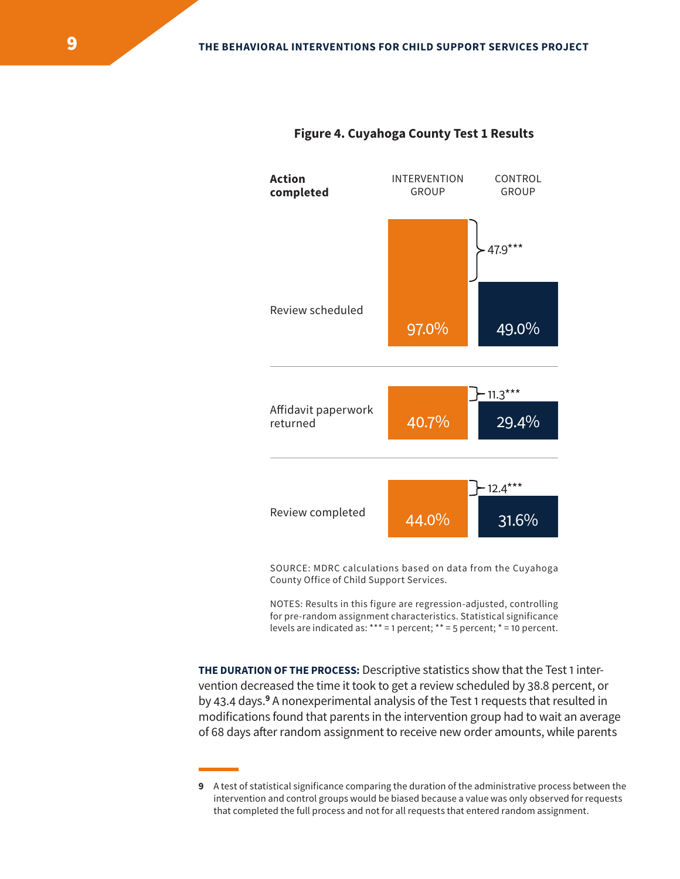



SOURCE: MDRC calculations based on data from the Cuyahoga County Office of Child Support Services.

NOTES: Results in this figure are regression-adjusted, controlling for pre-random assignment characteristics. Statistical significance levels are indicated as: \*\*\* = 1 percent; \*\* = 5 percent; \* = 10 percent.

**THE DURATION OF THE PROCESS:** Descriptive statistics show that the Test 1 intervention decreased the time it took to get a review scheduled by 38.8 percent, or by 43.4 days.<sup>9</sup> A nonexperimental analysis of the Test 1 requests that resulted in modifications found that parents in the intervention group had to wait an average of 68 days after random assignment to receive new order amounts, while parents

**<sup>9</sup>** A test of statistical significance comparing the duration of the administrative process between the intervention and control groups would be biased because a value was only observed for requests that completed the full process and not for all requests that entered random assignment.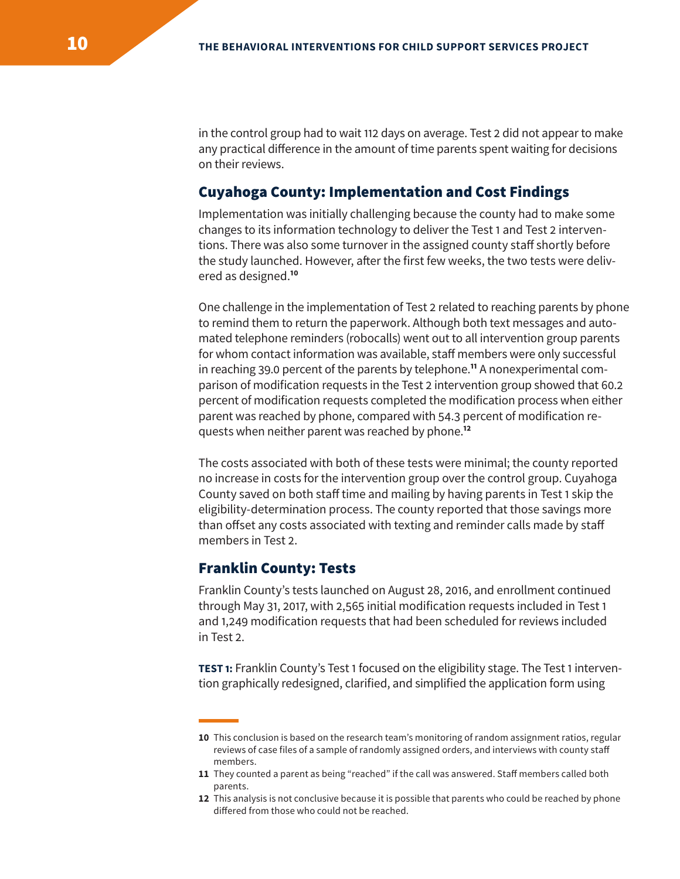in the control group had to wait 112 days on average. Test 2 did not appear to make any practical difference in the amount of time parents spent waiting for decisions on their reviews.

#### Cuyahoga County: Implementation and Cost Findings

Implementation was initially challenging because the county had to make some changes to its information technology to deliver the Test 1 and Test 2 interventions. There was also some turnover in the assigned county staff shortly before the study launched. However, after the first few weeks, the two tests were delivered as designed.**<sup>10</sup>**

One challenge in the implementation of Test 2 related to reaching parents by phone to remind them to return the paperwork. Although both text messages and automated telephone reminders (robocalls) went out to all intervention group parents for whom contact information was available, staff members were only successful in reaching 39.0 percent of the parents by telephone.**<sup>11</sup>** A nonexperimental comparison of modification requests in the Test 2 intervention group showed that 60.2 percent of modification requests completed the modification process when either parent was reached by phone, compared with 54.3 percent of modification requests when neither parent was reached by phone.**<sup>12</sup>**

The costs associated with both of these tests were minimal; the county reported no increase in costs for the intervention group over the control group. Cuyahoga County saved on both staff time and mailing by having parents in Test 1 skip the eligibility-determination process. The county reported that those savings more than offset any costs associated with texting and reminder calls made by staff members in Test 2.

#### Franklin County: Tests

Franklin County's tests launched on August 28, 2016, and enrollment continued through May 31, 2017, with 2,565 initial modification requests included in Test 1 and 1,249 modification requests that had been scheduled for reviews included in Test 2.

**TEST 1:** Franklin County's Test 1 focused on the eligibility stage. The Test 1 intervention graphically redesigned, clarified, and simplified the application form using

**<sup>10</sup>** This conclusion is based on the research team's monitoring of random assignment ratios, regular reviews of case files of a sample of randomly assigned orders, and interviews with county staff members.

**<sup>11</sup>** They counted a parent as being "reached" if the call was answered. Staff members called both parents.

**<sup>12</sup>** This analysis is not conclusive because it is possible that parents who could be reached by phone differed from those who could not be reached.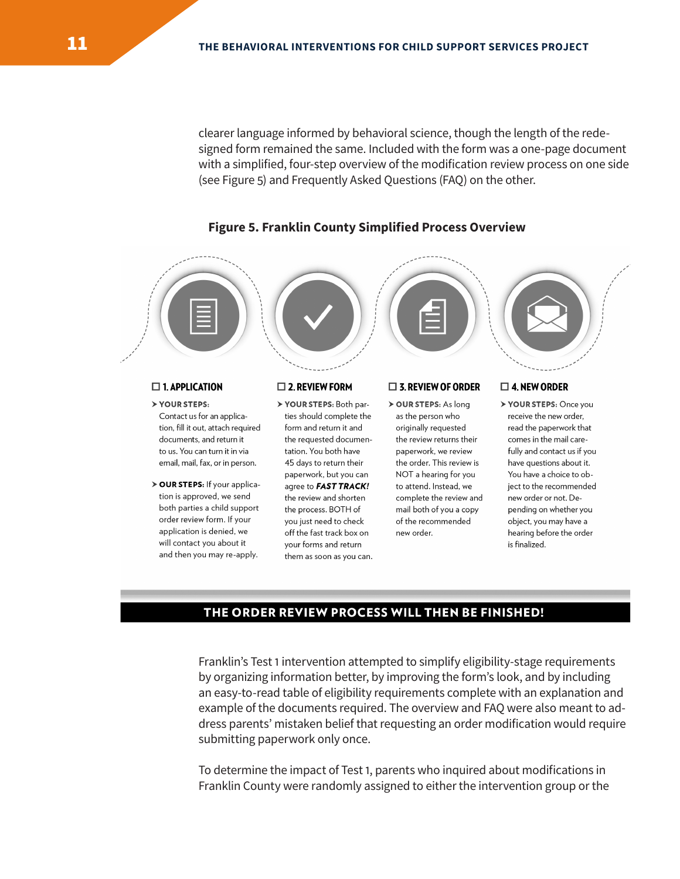clearer language informed by behavioral science, though the length of the redesigned form remained the same. Included with the form was a one-page document with a simplified, four-step overview of the modification review process on one side (see Figure 5) and Frequently Asked Questions (FAQ) on the other.



#### **Figure 5. Franklin County Simplified Process Overview**

#### $\square$  1. APPLICATION

- > YOUR STEPS: Contact us for an application, fill it out, attach required documents, and return it to us. You can turn it in via email, mail, fax, or in person.
- > OUR STEPS: If your application is approved, we send both parties a child support order review form. If your application is denied, we will contact you about it and then you may re-apply.

#### $\square$  2. REVIEW FORM

> YOUR STEPS: Both parties should complete the form and return it and the requested documentation. You both have 45 days to return their paperwork, but you can agree to FAST TRACK! the review and shorten the process. BOTH of you just need to check off the fast track box on your forms and return them as soon as you can.

#### $\Box$  3. REVIEW OF ORDER > OUR STEPS: As long

as the person who originally requested the review returns their paperwork, we review the order. This review is NOT a hearing for you to attend. Instead, we complete the review and mail both of you a copy of the recommended new order.

#### $\square$  4. NEW ORDER

> YOUR STEPS: Once you receive the new order, read the paperwork that comes in the mail carefully and contact us if you have questions about it. You have a choice to object to the recommended new order or not. Depending on whether you object, you may have a hearing before the order is finalized.

#### THE ORDER REVIEW PROCESS WILL THEN BE FINISHED!

Franklin's Test 1 intervention attempted to simplify eligibility-stage requirements by organizing information better, by improving the form's look, and by including an easy-to-read table of eligibility requirements complete with an explanation and example of the documents required. The overview and FAQ were also meant to address parents' mistaken belief that requesting an order modification would require submitting paperwork only once.

To determine the impact of Test 1, parents who inquired about modifications in Franklin County were randomly assigned to either the intervention group or the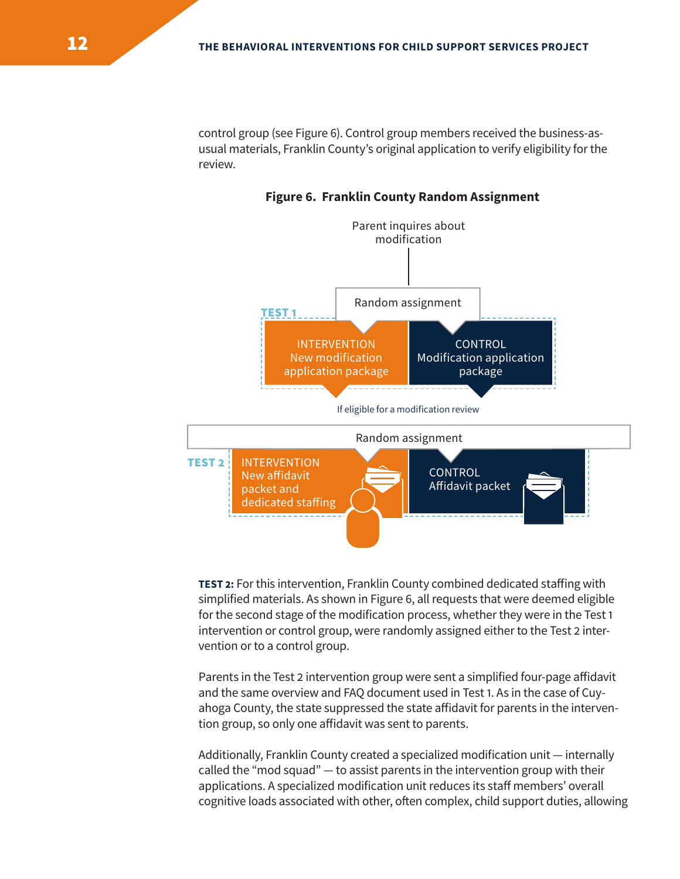control group (see Figure 6). Control group members received the business-asusual materials, Franklin County's original application to verify eligibility for the review.

**Figure 6. Franklin County Random Assignment**



**TEST 2:** For this intervention, Franklin County combined dedicated staffing with simplified materials. As shown in Figure 6, all requests that were deemed eligible for the second stage of the modification process, whether they were in the Test 1 intervention or control group, were randomly assigned either to the Test 2 intervention or to a control group.

Parents in the Test 2 intervention group were sent a simplified four-page affidavit and the same overview and FAQ document used in Test 1. As in the case of Cuyahoga County, the state suppressed the state affidavit for parents in the intervention group, so only one affidavit was sent to parents.

Additionally, Franklin County created a specialized modification unit — internally called the "mod squad" — to assist parents in the intervention group with their applications. A specialized modification unit reduces its staff members' overall cognitive loads associated with other, often complex, child support duties, allowing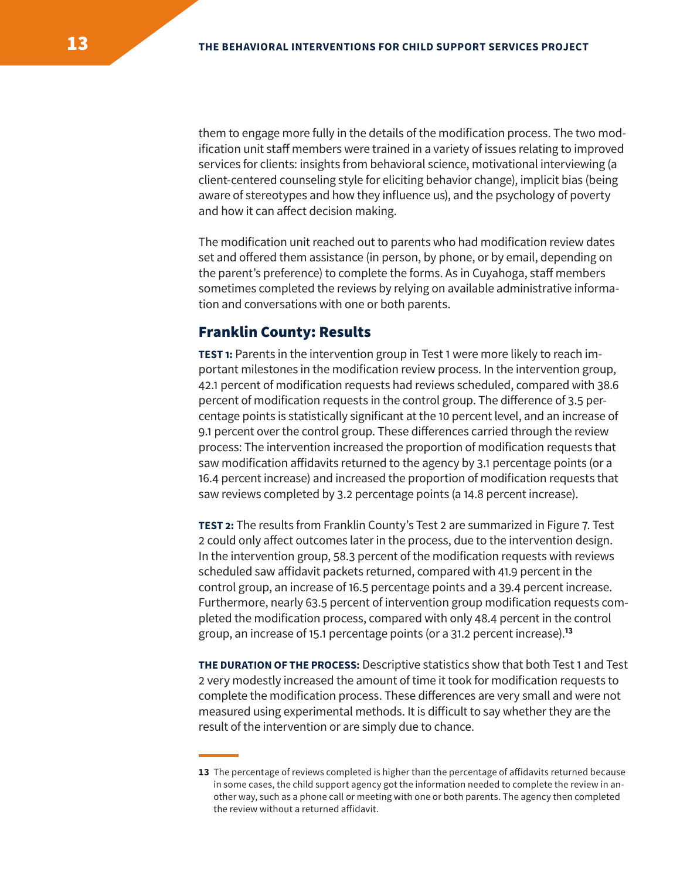them to engage more fully in the details of the modification process. The two modification unit staff members were trained in a variety of issues relating to improved services for clients: insights from behavioral science, motivational interviewing (a client-centered counseling style for eliciting behavior change), implicit bias (being aware of stereotypes and how they influence us), and the psychology of poverty and how it can affect decision making.

The modification unit reached out to parents who had modification review dates set and offered them assistance (in person, by phone, or by email, depending on the parent's preference) to complete the forms. As in Cuyahoga, staff members sometimes completed the reviews by relying on available administrative information and conversations with one or both parents.

#### Franklin County: Results

**TEST 1:** Parents in the intervention group in Test 1 were more likely to reach important milestones in the modification review process. In the intervention group, 42.1 percent of modification requests had reviews scheduled, compared with 38.6 percent of modification requests in the control group. The difference of 3.5 percentage points is statistically significant at the 10 percent level, and an increase of 9.1 percent over the control group. These differences carried through the review process: The intervention increased the proportion of modification requests that saw modification affidavits returned to the agency by 3.1 percentage points (or a 16.4 percent increase) and increased the proportion of modification requests that saw reviews completed by 3.2 percentage points (a 14.8 percent increase).

**TEST 2:** The results from Franklin County's Test 2 are summarized in Figure 7. Test 2 could only affect outcomes later in the process, due to the intervention design. In the intervention group, 58.3 percent of the modification requests with reviews scheduled saw affidavit packets returned, compared with 41.9 percent in the control group, an increase of 16.5 percentage points and a 39.4 percent increase. Furthermore, nearly 63.5 percent of intervention group modification requests completed the modification process, compared with only 48.4 percent in the control group, an increase of 15.1 percentage points (or a 31.2 percent increase).**<sup>13</sup>**

**THE DURATION OF THE PROCESS:** Descriptive statistics show that both Test 1 and Test 2 very modestly increased the amount of time it took for modification requests to complete the modification process. These differences are very small and were not measured using experimental methods. It is difficult to say whether they are the result of the intervention or are simply due to chance.

**<sup>13</sup>** The percentage of reviews completed is higher than the percentage of affidavits returned because in some cases, the child support agency got the information needed to complete the review in another way, such as a phone call or meeting with one or both parents. The agency then completed the review without a returned affidavit.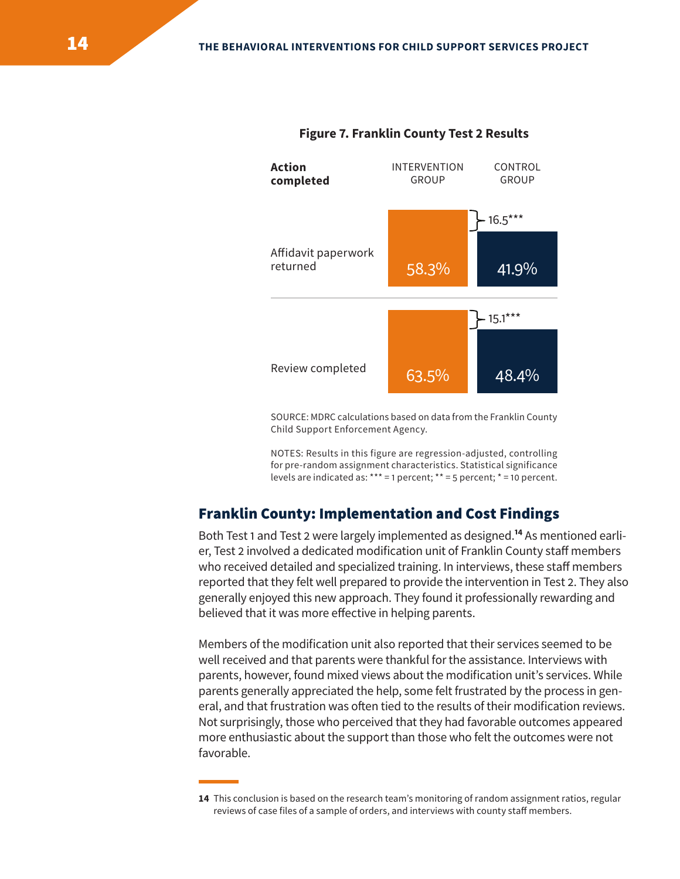

#### **Figure 7. Franklin County Test 2 Results**

SOURCE: MDRC calculations based on data from the Franklin County Child Support Enforcement Agency.

NOTES: Results in this figure are regression-adjusted, controlling for pre-random assignment characteristics. Statistical significance levels are indicated as: \*\*\* = 1 percent; \*\* = 5 percent; \* = 10 percent.

# Franklin County: Implementation and Cost Findings

Both Test 1 and Test 2 were largely implemented as designed.**<sup>14</sup>** As mentioned earlier, Test 2 involved a dedicated modification unit of Franklin County staff members who received detailed and specialized training. In interviews, these staff members reported that they felt well prepared to provide the intervention in Test 2. They also generally enjoyed this new approach. They found it professionally rewarding and believed that it was more effective in helping parents.

Members of the modification unit also reported that their services seemed to be well received and that parents were thankful for the assistance. Interviews with parents, however, found mixed views about the modification unit's services. While parents generally appreciated the help, some felt frustrated by the process in general, and that frustration was often tied to the results of their modification reviews. Not surprisingly, those who perceived that they had favorable outcomes appeared more enthusiastic about the support than those who felt the outcomes were not favorable.

**<sup>14</sup>** This conclusion is based on the research team's monitoring of random assignment ratios, regular reviews of case files of a sample of orders, and interviews with county staff members.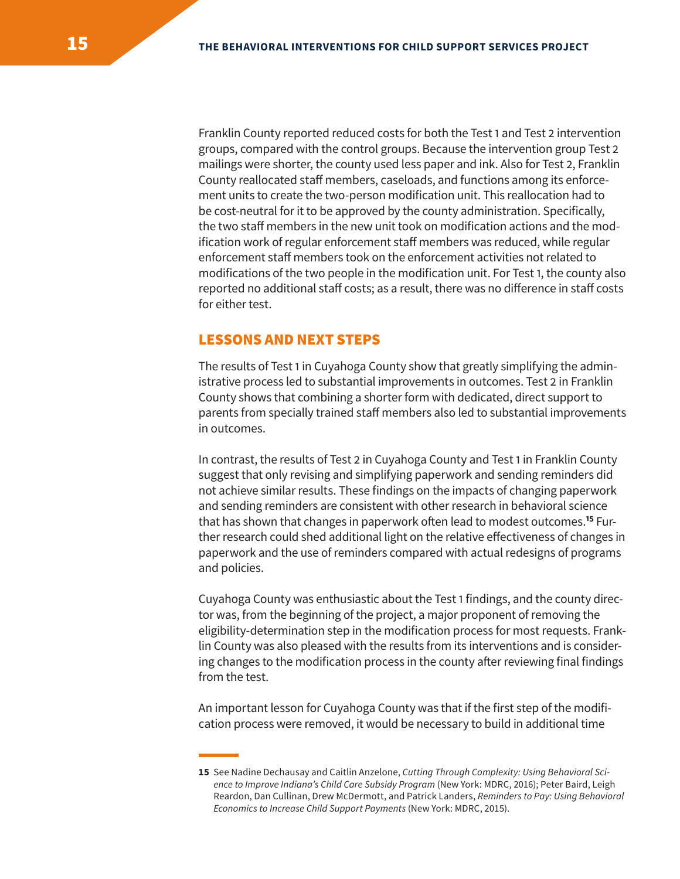Franklin County reported reduced costs for both the Test 1 and Test 2 intervention groups, compared with the control groups. Because the intervention group Test 2 mailings were shorter, the county used less paper and ink. Also for Test 2, Franklin County reallocated staff members, caseloads, and functions among its enforcement units to create the two-person modification unit. This reallocation had to be cost-neutral for it to be approved by the county administration. Specifically, the two staff members in the new unit took on modification actions and the modification work of regular enforcement staff members was reduced, while regular enforcement staff members took on the enforcement activities not related to modifications of the two people in the modification unit. For Test 1, the county also reported no additional staff costs; as a result, there was no difference in staff costs for either test.

#### LESSONS AND NEXT STEPS

The results of Test 1 in Cuyahoga County show that greatly simplifying the administrative process led to substantial improvements in outcomes. Test 2 in Franklin County shows that combining a shorter form with dedicated, direct support to parents from specially trained staff members also led to substantial improvements in outcomes.

In contrast, the results of Test 2 in Cuyahoga County and Test 1 in Franklin County suggest that only revising and simplifying paperwork and sending reminders did not achieve similar results. These findings on the impacts of changing paperwork and sending reminders are consistent with other research in behavioral science that has shown that changes in paperwork often lead to modest outcomes.**<sup>15</sup>** Further research could shed additional light on the relative effectiveness of changes in paperwork and the use of reminders compared with actual redesigns of programs and policies.

Cuyahoga County was enthusiastic about the Test 1 findings, and the county director was, from the beginning of the project, a major proponent of removing the eligibility-determination step in the modification process for most requests. Franklin County was also pleased with the results from its interventions and is considering changes to the modification process in the county after reviewing final findings from the test.

An important lesson for Cuyahoga County was that if the first step of the modification process were removed, it would be necessary to build in additional time

**<sup>15</sup>** See Nadine Dechausay and Caitlin Anzelone, *Cutting Through Complexity: Using Behavioral Science to Improve Indiana's Child Care Subsidy Program* (New York: MDRC, 2016); Peter Baird, Leigh Reardon, Dan Cullinan, Drew McDermott, and Patrick Landers, *Reminders to Pay: Using Behavioral Economics to Increase Child Support Payments* (New York: MDRC, 2015).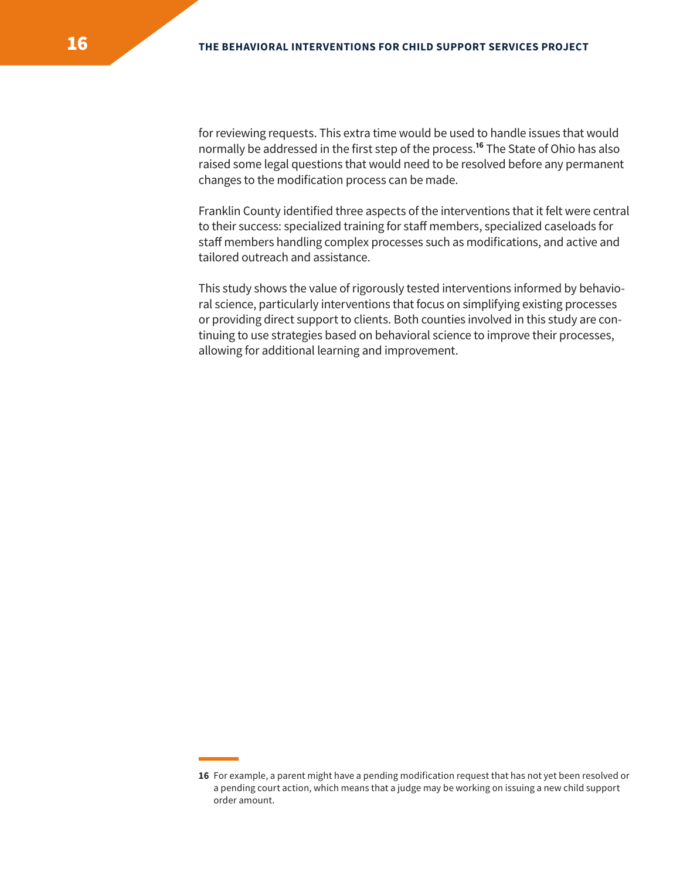for reviewing requests. This extra time would be used to handle issues that would normally be addressed in the first step of the process.**<sup>16</sup>** The State of Ohio has also raised some legal questions that would need to be resolved before any permanent changes to the modification process can be made.

Franklin County identified three aspects of the interventions that it felt were central to their success: specialized training for staff members, specialized caseloads for staff members handling complex processes such as modifications, and active and tailored outreach and assistance.

This study shows the value of rigorously tested interventions informed by behavioral science, particularly interventions that focus on simplifying existing processes or providing direct support to clients. Both counties involved in this study are continuing to use strategies based on behavioral science to improve their processes, allowing for additional learning and improvement.

**<sup>16</sup>** For example, a parent might have a pending modification request that has not yet been resolved or a pending court action, which means that a judge may be working on issuing a new child support order amount.